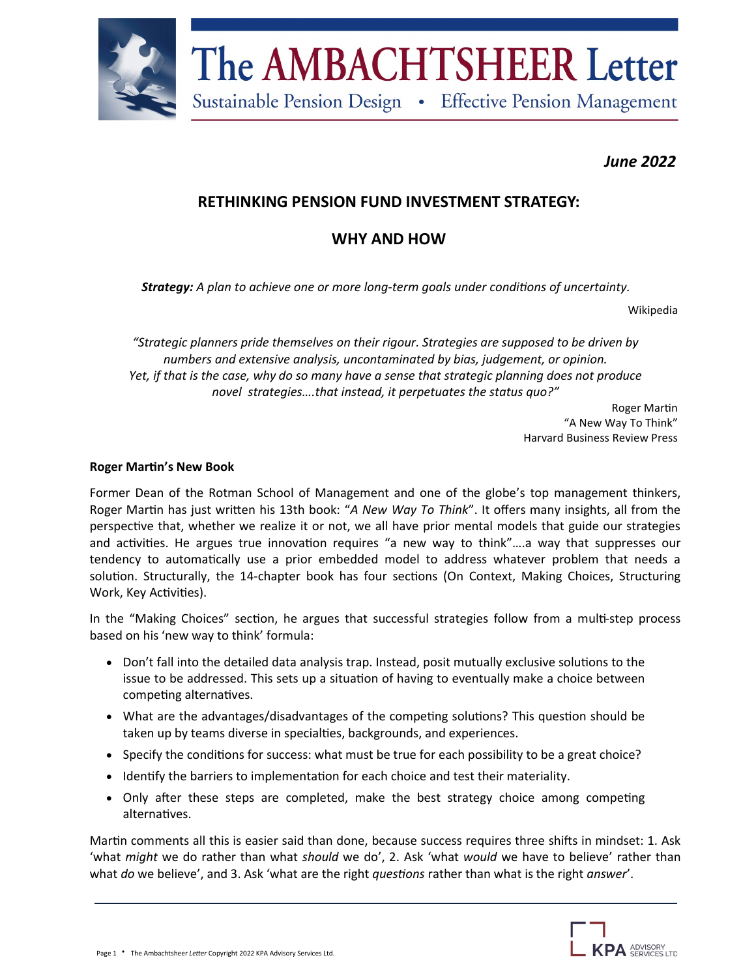

# The AMBACHTSHEER Letter

Sustainable Pension Design • Effective Pension Management

## *June 2022*

## **RETHINKING PENSION FUND INVESTMENT STRATEGY:**

# **WHY AND HOW**

*Strategy: A plan to achieve one or more long-term goals under conditions of uncertainty.*

Wikipedia

*"Strategic planners pride themselves on their rigour. Strategies are supposed to be driven by numbers and extensive analysis, uncontaminated by bias, judgement, or opinion. Yet, if that is the case, why do so many have a sense that strategic planning does not produce novel strategies….that instead, it perpetuates the status quo?"*

> Roger Martin "A New Way To Think" Harvard Business Review Press

#### **Roger Martin's New Book**

Former Dean of the Rotman School of Management and one of the globe's top management thinkers, Roger Martin has just written his 13th book: "*A New Way To Think*". It offers many insights, all from the perspective that, whether we realize it or not, we all have prior mental models that guide our strategies and activities. He argues true innovation requires "a new way to think"….a way that suppresses our tendency to automatically use a prior embedded model to address whatever problem that needs a solution. Structurally, the 14-chapter book has four sections (On Context, Making Choices, Structuring Work, Key Activities).

In the "Making Choices" section, he argues that successful strategies follow from a multi-step process based on his 'new way to think' formula:

- Don't fall into the detailed data analysis trap. Instead, posit mutually exclusive solutions to the issue to be addressed. This sets up a situation of having to eventually make a choice between competing alternatives.
- What are the advantages/disadvantages of the competing solutions? This question should be taken up by teams diverse in specialties, backgrounds, and experiences.
- Specify the conditions for success: what must be true for each possibility to be a great choice?
- Identify the barriers to implementation for each choice and test their materiality.
- Only after these steps are completed, make the best strategy choice among competing alternatives.

Martin comments all this is easier said than done, because success requires three shifts in mindset: 1. Ask 'what *might* we do rather than what *should* we do', 2. Ask 'what *would* we have to believe' rather than what *do* we believe', and 3. Ask 'what are the right *questions* rather than what is the right *answer*'.

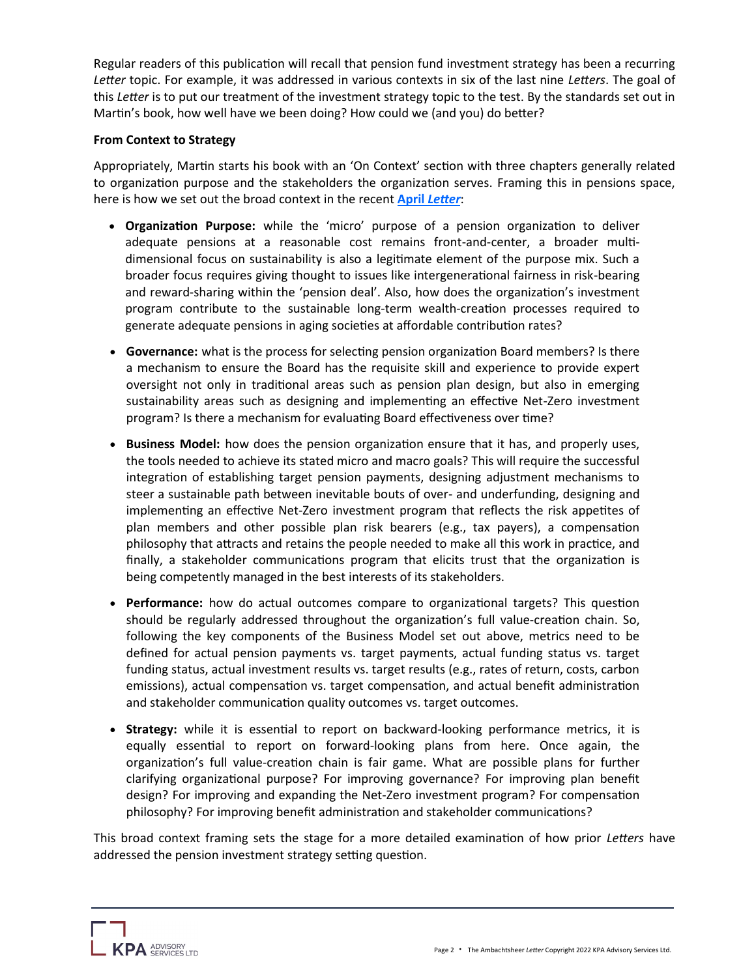Regular readers of this publication will recall that pension fund investment strategy has been a recurring *Letter* topic. For example, it was addressed in various contexts in six of the last nine *Letters*. The goal of this *Letter* is to put our treatment of the investment strategy topic to the test. By the standards set out in Martin's book, how well have we been doing? How could we (and you) do better?

#### **From Context to Strategy**

Appropriately, Martin starts his book with an 'On Context' section with three chapters generally related to organization purpose and the stakeholders the organization serves. Framing this in pensions space, here is how we set out the broad context in the recent **April** *[Letter](https://kpa-advisory.com/the-ambachtsheer-letter/view/the-future-of-stakeholder-communications-where-do-pension-organizations-go-from-here)*:

- **Organization Purpose:** while the 'micro' purpose of a pension organization to deliver adequate pensions at a reasonable cost remains front-and-center, a broader multidimensional focus on sustainability is also a legitimate element of the purpose mix. Such a broader focus requires giving thought to issues like intergenerational fairness in risk-bearing and reward-sharing within the 'pension deal'. Also, how does the organization's investment program contribute to the sustainable long-term wealth-creation processes required to generate adequate pensions in aging societies at affordable contribution rates?
- **Governance:** what is the process for selecting pension organization Board members? Is there a mechanism to ensure the Board has the requisite skill and experience to provide expert oversight not only in traditional areas such as pension plan design, but also in emerging sustainability areas such as designing and implementing an effective Net-Zero investment program? Is there a mechanism for evaluating Board effectiveness over time?
- **Business Model:** how does the pension organization ensure that it has, and properly uses, the tools needed to achieve its stated micro and macro goals? This will require the successful integration of establishing target pension payments, designing adjustment mechanisms to steer a sustainable path between inevitable bouts of over- and underfunding, designing and implementing an effective Net-Zero investment program that reflects the risk appetites of plan members and other possible plan risk bearers (e.g., tax payers), a compensation philosophy that attracts and retains the people needed to make all this work in practice, and finally, a stakeholder communications program that elicits trust that the organization is being competently managed in the best interests of its stakeholders.
- **Performance:** how do actual outcomes compare to organizational targets? This question should be regularly addressed throughout the organization's full value-creation chain. So, following the key components of the Business Model set out above, metrics need to be defined for actual pension payments vs. target payments, actual funding status vs. target funding status, actual investment results vs. target results (e.g., rates of return, costs, carbon emissions), actual compensation vs. target compensation, and actual benefit administration and stakeholder communication quality outcomes vs. target outcomes.
- **Strategy:** while it is essential to report on backward-looking performance metrics, it is equally essential to report on forward-looking plans from here. Once again, the organization's full value-creation chain is fair game. What are possible plans for further clarifying organizational purpose? For improving governance? For improving plan benefit design? For improving and expanding the Net-Zero investment program? For compensation philosophy? For improving benefit administration and stakeholder communications?

This broad context framing sets the stage for a more detailed examination of how prior *Letters* have addressed the pension investment strategy setting question.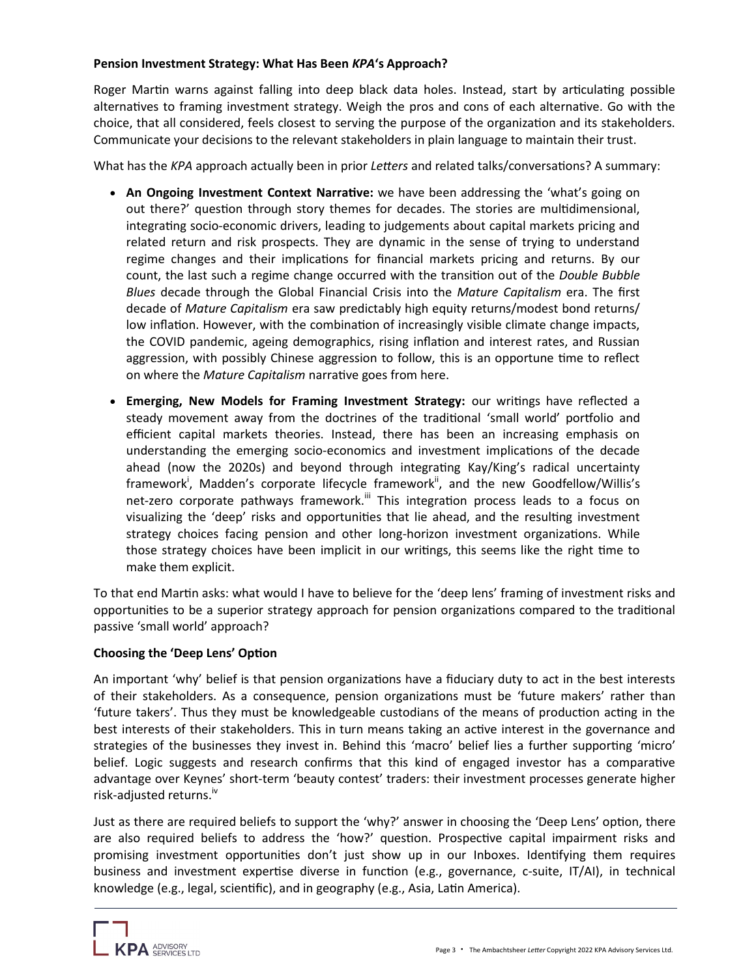### **Pension Investment Strategy: What Has Been** *KPA***'s Approach?**

Roger Martin warns against falling into deep black data holes. Instead, start by articulating possible alternatives to framing investment strategy. Weigh the pros and cons of each alternative. Go with the choice, that all considered, feels closest to serving the purpose of the organization and its stakeholders. Communicate your decisions to the relevant stakeholders in plain language to maintain their trust.

What has the *KPA* approach actually been in prior *Letters* and related talks/conversations? A summary:

- **An Ongoing Investment Context Narrative:** we have been addressing the 'what's going on out there?' question through story themes for decades. The stories are multidimensional, integrating socio-economic drivers, leading to judgements about capital markets pricing and related return and risk prospects. They are dynamic in the sense of trying to understand regime changes and their implications for financial markets pricing and returns. By our count, the last such a regime change occurred with the transition out of the *Double Bubble Blues* decade through the Global Financial Crisis into the *Mature Capitalism* era. The first decade of *Mature Capitalism* era saw predictably high equity returns/modest bond returns/ low inflation. However, with the combination of increasingly visible climate change impacts, the COVID pandemic, ageing demographics, rising inflation and interest rates, and Russian aggression, with possibly Chinese aggression to follow, this is an opportune time to reflect on where the *Mature Capitalism* narrative goes from here.
- **Emerging, New Models for Framing Investment Strategy:** our writings have reflected a steady movement away from the doctrines of the traditional 'small world' portfolio and efficient capital markets theories. Instead, there has been an increasing emphasis on understanding the emerging socio-economics and investment implications of the decade ahead (now the 2020s) and beyond through integrating Kay/King's radical uncertainty framework<sup>i</sup>, Madden's corporate lifecycle framework<sup>ii</sup>, and the new Goodfellow/Willis's net-zero corporate pathways framework.<sup>iii</sup> This integration process leads to a focus on visualizing the 'deep' risks and opportunities that lie ahead, and the resulting investment strategy choices facing pension and other long-horizon investment organizations. While those strategy choices have been implicit in our writings, this seems like the right time to make them explicit.

To that end Martin asks: what would I have to believe for the 'deep lens' framing of investment risks and opportunities to be a superior strategy approach for pension organizations compared to the traditional passive 'small world' approach?

## **Choosing the 'Deep Lens' Option**

An important 'why' belief is that pension organizations have a fiduciary duty to act in the best interests of their stakeholders. As a consequence, pension organizations must be 'future makers' rather than 'future takers'. Thus they must be knowledgeable custodians of the means of production acting in the best interests of their stakeholders. This in turn means taking an active interest in the governance and strategies of the businesses they invest in. Behind this 'macro' belief lies a further supporting 'micro' belief. Logic suggests and research confirms that this kind of engaged investor has a comparative advantage over Keynes' short-term 'beauty contest' traders: their investment processes generate higher risk-adjusted returns.<sup>iv</sup>

Just as there are required beliefs to support the 'why?' answer in choosing the 'Deep Lens' option, there are also required beliefs to address the 'how?' question. Prospective capital impairment risks and promising investment opportunities don't just show up in our Inboxes. Identifying them requires business and investment expertise diverse in function (e.g., governance, c-suite, IT/AI), in technical knowledge (e.g., legal, scientific), and in geography (e.g., Asia, Latin America).